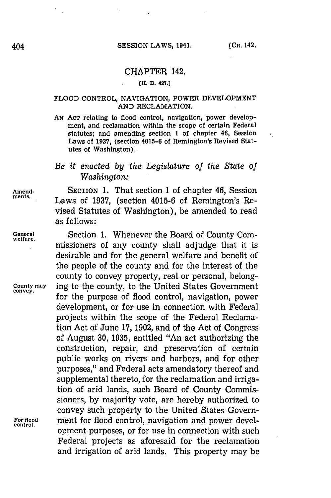$\epsilon_1$ 

## CHAPTER 142.

### **[H. B. 427.]**

### **FLOOD CONTROL, NAVIGATION, POWER DEVELOPMENT AND RECLAMATION.**

AN ACT relating to flood control, navigation, power development, and reclamation within the scope **of certain Federal** statutes; and amending section **1** of chapter 46, Session Laws of **1937,** (section 4015-6 of Remington's Revised Statutes of Washington).

## *Be it enacted by the Legislature of the State of Washington:*

**Amend-** SECTION **1.** That section **1** of chapter 46, Session Laws of 1937, (section 4015-6 of Remington's Revised Statutes of Washington), be amended to read as follows:

General **Section 1. Whenever the Board of County Com-** welfare. missioners of any county shall adjudge that it is desirable and for the general welfare and benefit of the people of the county and for the interest of the county to convey property, real or personal, belong-**County may** ing to the county, to the United States Government for the purpose of flood control, navigation, power development, or for use in connection with Federal projects within the scope of the Federal Reclamation Act of June **17, 1902,** and of the Act of Congress of August **30, 1935,** entitled "An act authorizing the construction, repair, and preservation of certain public works on rivers and harbors, and for other purposes," and Federal acts amendatory thereof and supplemental thereto, for the reclamation and irrigation of arid lands, such Board of County Commis**sioners, by** majority vote, are hereby authorized to convey such property to the United States Govern-For flood **ment for flood control**, navigation and power development purposes, or for use in connection with such Federal projects as aforesaid for the reclamation and irrigation of arid lands. This property may be